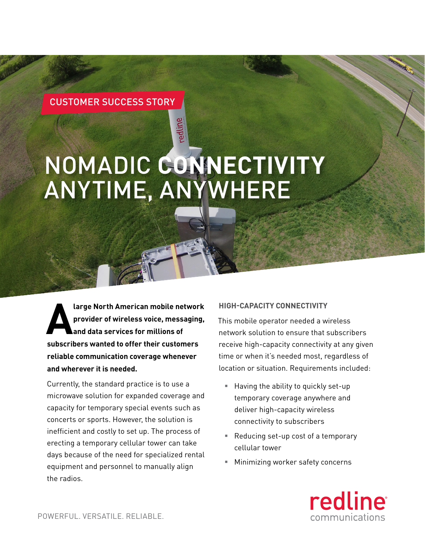# CUSTOMER SUCCESS STORY

# NOMADIC **CONNECTIVITY** ANYTIME, ANYWHERE

redline

**A large North American mobile network**<br>provider of wireless voice, messaging,<br>and data services for millions of **provider of wireless voice, messaging, and data services for millions of subscribers wanted to offer their customers reliable communication coverage whenever and wherever it is needed.**

Currently, the standard practice is to use a microwave solution for expanded coverage and capacity for temporary special events such as concerts or sports. However, the solution is inefficient and costly to set up. The process of erecting a temporary cellular tower can take days because of the need for specialized rental equipment and personnel to manually align the radios.

#### **HIGH-CAPACITY CONNECTIVITY**

This mobile operator needed a wireless network solution to ensure that subscribers receive high-capacity connectivity at any given time or when it's needed most, regardless of location or situation. Requirements included:

- § Having the ability to quickly set-up temporary coverage anywhere and deliver high-capacity wireless connectivity to subscribers
- Reducing set-up cost of a temporary cellular tower
- § Minimizing worker safety concerns